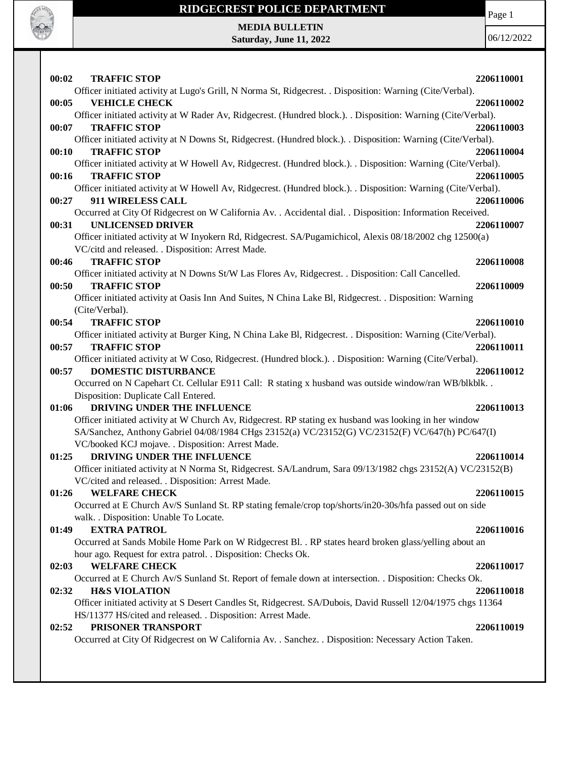

#### **RIDGECREST POLICE DEPARTMENT**

Page 1

**MEDIA BULLETIN Saturday, June 11, 2022**

| 00:02<br><b>TRAFFIC STOP</b>                                                                                  | 2206110001 |
|---------------------------------------------------------------------------------------------------------------|------------|
| Officer initiated activity at Lugo's Grill, N Norma St, Ridgecrest. . Disposition: Warning (Cite/Verbal).     |            |
| 00:05<br><b>VEHICLE CHECK</b>                                                                                 | 2206110002 |
| Officer initiated activity at W Rader Av, Ridgecrest. (Hundred block.). . Disposition: Warning (Cite/Verbal). |            |
| <b>TRAFFIC STOP</b><br>00:07                                                                                  | 2206110003 |
| Officer initiated activity at N Downs St, Ridgecrest. (Hundred block.). . Disposition: Warning (Cite/Verbal). |            |
| <b>TRAFFIC STOP</b><br>00:10                                                                                  | 2206110004 |
| Officer initiated activity at W Howell Av, Ridgecrest. (Hundred block.). Disposition: Warning (Cite/Verbal).  |            |
| <b>TRAFFIC STOP</b><br>00:16                                                                                  | 2206110005 |
| Officer initiated activity at W Howell Av, Ridgecrest. (Hundred block.). Disposition: Warning (Cite/Verbal).  |            |
| <b>911 WIRELESS CALL</b><br>00:27                                                                             | 2206110006 |
| Occurred at City Of Ridgecrest on W California Av. . Accidental dial. . Disposition: Information Received.    |            |
| <b>UNLICENSED DRIVER</b><br>00:31                                                                             | 2206110007 |
| Officer initiated activity at W Inyokern Rd, Ridgecrest. SA/Pugamichicol, Alexis 08/18/2002 chg 12500(a)      |            |
| VC/citd and released. . Disposition: Arrest Made.                                                             |            |
| <b>TRAFFIC STOP</b><br>00:46                                                                                  | 2206110008 |
| Officer initiated activity at N Downs St/W Las Flores Av, Ridgecrest. . Disposition: Call Cancelled.          |            |
| <b>TRAFFIC STOP</b><br>00:50                                                                                  | 2206110009 |
| Officer initiated activity at Oasis Inn And Suites, N China Lake Bl, Ridgecrest. . Disposition: Warning       |            |
| (Cite/Verbal).                                                                                                |            |
| 00:54<br><b>TRAFFIC STOP</b>                                                                                  | 2206110010 |
| Officer initiated activity at Burger King, N China Lake Bl, Ridgecrest. . Disposition: Warning (Cite/Verbal). |            |
| <b>TRAFFIC STOP</b><br>00:57                                                                                  | 2206110011 |
| Officer initiated activity at W Coso, Ridgecrest. (Hundred block.). . Disposition: Warning (Cite/Verbal).     |            |
| <b>DOMESTIC DISTURBANCE</b><br>00:57                                                                          | 2206110012 |
| Occurred on N Capehart Ct. Cellular E911 Call: R stating x husband was outside window/ran WB/blkblk           |            |
| Disposition: Duplicate Call Entered.                                                                          |            |
| DRIVING UNDER THE INFLUENCE<br>01:06                                                                          | 2206110013 |
| Officer initiated activity at W Church Av, Ridgecrest. RP stating ex husband was looking in her window        |            |
| SA/Sanchez, Anthony Gabriel 04/08/1984 CHgs 23152(a) VC/23152(G) VC/23152(F) VC/647(h) PC/647(I)              |            |
| VC/booked KCJ mojave. . Disposition: Arrest Made.                                                             |            |
| DRIVING UNDER THE INFLUENCE<br>01:25                                                                          | 2206110014 |
| Officer initiated activity at N Norma St, Ridgecrest. SA/Landrum, Sara 09/13/1982 chgs 23152(A) VC/23152(B)   |            |
| VC/cited and released. . Disposition: Arrest Made.                                                            |            |
| 01:26<br><b>WELFARE CHECK</b>                                                                                 | 2206110015 |
| Occurred at E Church Av/S Sunland St. RP stating female/crop top/shorts/in20-30s/hfa passed out on side       |            |
| walk. . Disposition: Unable To Locate.                                                                        |            |
| <b>EXTRA PATROL</b><br>01:49                                                                                  | 2206110016 |
| Occurred at Sands Mobile Home Park on W Ridgecrest Bl. . RP states heard broken glass/yelling about an        |            |
| hour ago. Request for extra patrol. . Disposition: Checks Ok.                                                 |            |
| <b>WELFARE CHECK</b><br>02:03                                                                                 | 2206110017 |
| Occurred at E Church Av/S Sunland St. Report of female down at intersection. . Disposition: Checks Ok.        |            |
| 02:32<br><b>H&amp;S VIOLATION</b>                                                                             | 2206110018 |
| Officer initiated activity at S Desert Candles St, Ridgecrest. SA/Dubois, David Russell 12/04/1975 chgs 11364 |            |
| HS/11377 HS/cited and released. . Disposition: Arrest Made.                                                   |            |
| 02:52<br>PRISONER TRANSPORT                                                                                   | 2206110019 |
| Occurred at City Of Ridgecrest on W California Av. . Sanchez. . Disposition: Necessary Action Taken.          |            |
|                                                                                                               |            |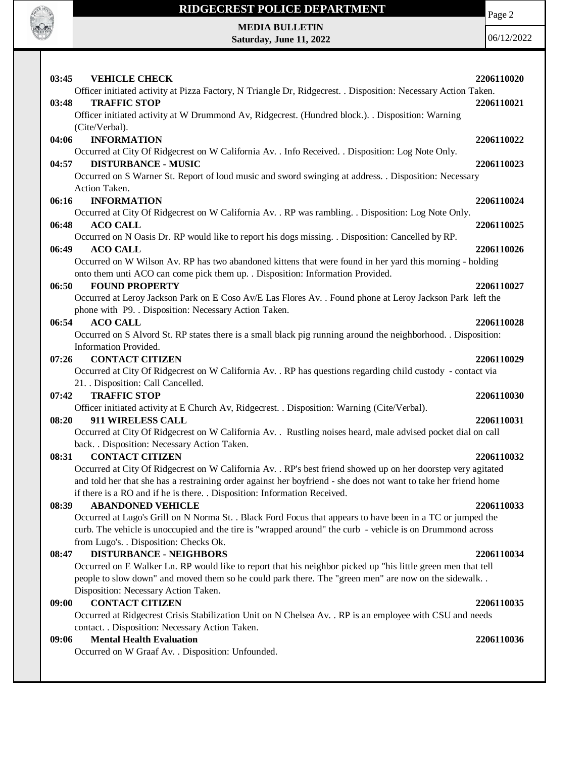

#### **RIDGECREST POLICE DEPARTMENT**

Page 2

**MEDIA BULLETIN Saturday, June 11, 2022**

| <b>VEHICLE CHECK</b><br>03:45                                                                                   | 2206110020 |
|-----------------------------------------------------------------------------------------------------------------|------------|
| Officer initiated activity at Pizza Factory, N Triangle Dr, Ridgecrest. . Disposition: Necessary Action Taken.  |            |
| <b>TRAFFIC STOP</b><br>03:48                                                                                    | 2206110021 |
| Officer initiated activity at W Drummond Av, Ridgecrest. (Hundred block.). . Disposition: Warning               |            |
| (Cite/Verbal).                                                                                                  |            |
| <b>INFORMATION</b><br>04:06                                                                                     | 2206110022 |
| Occurred at City Of Ridgecrest on W California Av. . Info Received. . Disposition: Log Note Only.               |            |
| <b>DISTURBANCE - MUSIC</b><br>04:57                                                                             | 2206110023 |
| Occurred on S Warner St. Report of loud music and sword swinging at address. . Disposition: Necessary           |            |
| Action Taken.                                                                                                   |            |
| 06:16<br><b>INFORMATION</b>                                                                                     | 2206110024 |
| Occurred at City Of Ridgecrest on W California Av. . RP was rambling. . Disposition: Log Note Only.             |            |
| 06:48<br><b>ACO CALL</b>                                                                                        | 2206110025 |
| Occurred on N Oasis Dr. RP would like to report his dogs missing. . Disposition: Cancelled by RP.               |            |
| 06:49<br><b>ACO CALL</b>                                                                                        | 2206110026 |
| Occurred on W Wilson Av. RP has two abandoned kittens that were found in her yard this morning - holding        |            |
| onto them unti ACO can come pick them up. . Disposition: Information Provided.                                  |            |
| <b>FOUND PROPERTY</b><br>06:50                                                                                  | 2206110027 |
| Occurred at Leroy Jackson Park on E Coso Av/E Las Flores Av. . Found phone at Leroy Jackson Park left the       |            |
| phone with P9. . Disposition: Necessary Action Taken.                                                           |            |
| <b>ACO CALL</b><br>06:54                                                                                        | 2206110028 |
| Occurred on S Alvord St. RP states there is a small black pig running around the neighborhood. . Disposition:   |            |
| Information Provided.                                                                                           |            |
| <b>CONTACT CITIZEN</b><br>07:26                                                                                 | 2206110029 |
| Occurred at City Of Ridgecrest on W California Av. . RP has questions regarding child custody - contact via     |            |
| 21. Disposition: Call Cancelled.                                                                                |            |
| <b>TRAFFIC STOP</b><br>07:42                                                                                    | 2206110030 |
| Officer initiated activity at E Church Av, Ridgecrest. . Disposition: Warning (Cite/Verbal).                    |            |
| 911 WIRELESS CALL<br>08:20                                                                                      | 2206110031 |
| Occurred at City Of Ridgecrest on W California Av. . Rustling noises heard, male advised pocket dial on call    |            |
| back. . Disposition: Necessary Action Taken.                                                                    |            |
| <b>CONTACT CITIZEN</b><br>08:31                                                                                 | 2206110032 |
| Occurred at City Of Ridgecrest on W California Av. . RP's best friend showed up on her doorstep very agitated   |            |
| and told her that she has a restraining order against her boyfriend - she does not want to take her friend home |            |
| if there is a RO and if he is there. . Disposition: Information Received.                                       |            |
| <b>ABANDONED VEHICLE</b><br>08:39                                                                               | 2206110033 |
| Occurred at Lugo's Grill on N Norma St. . Black Ford Focus that appears to have been in a TC or jumped the      |            |
| curb. The vehicle is unoccupied and the tire is "wrapped around" the curb - vehicle is on Drummond across       |            |
| from Lugo's. . Disposition: Checks Ok.                                                                          |            |
| <b>DISTURBANCE - NEIGHBORS</b><br>08:47                                                                         | 2206110034 |
| Occurred on E Walker Ln. RP would like to report that his neighbor picked up "his little green men that tell    |            |
| people to slow down" and moved them so he could park there. The "green men" are now on the sidewalk             |            |
| Disposition: Necessary Action Taken.                                                                            |            |
| <b>CONTACT CITIZEN</b><br>09:00                                                                                 | 2206110035 |
| Occurred at Ridgecrest Crisis Stabilization Unit on N Chelsea Av. . RP is an employee with CSU and needs        |            |
| contact. . Disposition: Necessary Action Taken.                                                                 |            |
| <b>Mental Health Evaluation</b><br>09:06                                                                        | 2206110036 |
| Occurred on W Graaf Av. . Disposition: Unfounded.                                                               |            |
|                                                                                                                 |            |
|                                                                                                                 |            |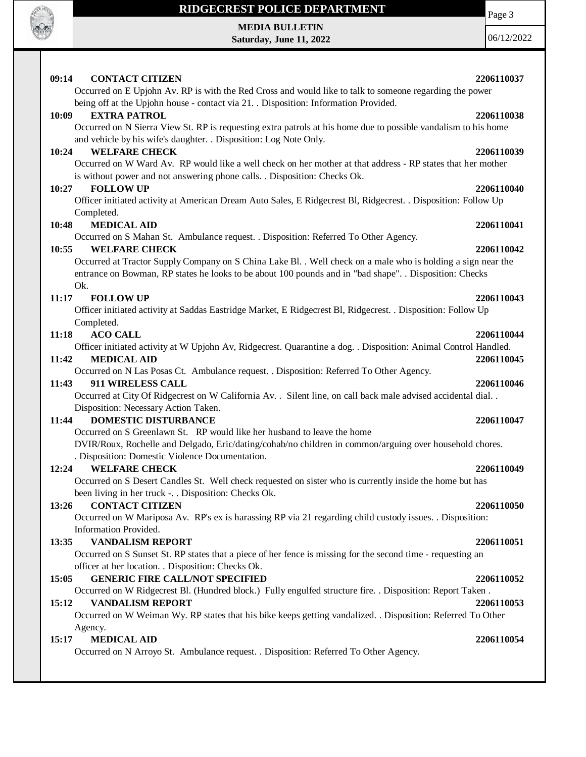

 $\mathbf{I}$ 

### **RIDGECREST POLICE DEPARTMENT**

**MEDIA BULLETIN Saturday, June 11, 2022** Page 3

| 09:14<br><b>CONTACT CITIZEN</b>                                                                                                                                                                                                | 2206110037 |
|--------------------------------------------------------------------------------------------------------------------------------------------------------------------------------------------------------------------------------|------------|
| Occurred on E Upjohn Av. RP is with the Red Cross and would like to talk to someone regarding the power<br>being off at the Upjohn house - contact via 21. Disposition: Information Provided.                                  |            |
| <b>EXTRA PATROL</b><br>10:09                                                                                                                                                                                                   | 2206110038 |
| Occurred on N Sierra View St. RP is requesting extra patrols at his home due to possible vandalism to his home                                                                                                                 |            |
| and vehicle by his wife's daughter. . Disposition: Log Note Only.<br><b>WELFARE CHECK</b><br>10:24                                                                                                                             | 2206110039 |
| Occurred on W Ward Av. RP would like a well check on her mother at that address - RP states that her mother<br>is without power and not answering phone calls. . Disposition: Checks Ok.                                       |            |
| <b>FOLLOW UP</b><br>10:27                                                                                                                                                                                                      | 2206110040 |
| Officer initiated activity at American Dream Auto Sales, E Ridgecrest Bl, Ridgecrest. . Disposition: Follow Up<br>Completed.                                                                                                   |            |
| <b>MEDICAL AID</b><br>10:48                                                                                                                                                                                                    | 2206110041 |
| Occurred on S Mahan St. Ambulance request. . Disposition: Referred To Other Agency.                                                                                                                                            |            |
| 10:55<br><b>WELFARE CHECK</b>                                                                                                                                                                                                  | 2206110042 |
| Occurred at Tractor Supply Company on S China Lake Bl. . Well check on a male who is holding a sign near the<br>entrance on Bowman, RP states he looks to be about 100 pounds and in "bad shape". . Disposition: Checks<br>Ok. |            |
| <b>FOLLOW UP</b><br>11:17                                                                                                                                                                                                      | 2206110043 |
| Officer initiated activity at Saddas Eastridge Market, E Ridgecrest Bl, Ridgecrest. . Disposition: Follow Up<br>Completed.                                                                                                     |            |
| <b>ACO CALL</b><br>11:18                                                                                                                                                                                                       | 2206110044 |
| Officer initiated activity at W Upjohn Av, Ridgecrest. Quarantine a dog. . Disposition: Animal Control Handled.<br><b>MEDICAL AID</b><br>11:42                                                                                 | 2206110045 |
| Occurred on N Las Posas Ct. Ambulance request. . Disposition: Referred To Other Agency.                                                                                                                                        |            |
| 11:43<br>911 WIRELESS CALL<br>Occurred at City Of Ridgecrest on W California Av. . Silent line, on call back male advised accidental dial. .                                                                                   | 2206110046 |
| Disposition: Necessary Action Taken.<br>11:44<br><b>DOMESTIC DISTURBANCE</b>                                                                                                                                                   | 2206110047 |
| Occurred on S Greenlawn St. RP would like her husband to leave the home                                                                                                                                                        |            |
| DVIR/Roux, Rochelle and Delgado, Eric/dating/cohab/no children in common/arguing over household chores.<br>. Disposition: Domestic Violence Documentation.                                                                     |            |
| <b>WELFARE CHECK</b><br>12:24                                                                                                                                                                                                  | 2206110049 |
| Occurred on S Desert Candles St. Well check requested on sister who is currently inside the home but has<br>been living in her truck -. . Disposition: Checks Ok.                                                              |            |
| <b>CONTACT CITIZEN</b><br>13:26                                                                                                                                                                                                | 2206110050 |
| Occurred on W Mariposa Av. RP's ex is harassing RP via 21 regarding child custody issues. . Disposition:<br>Information Provided.                                                                                              |            |
| <b>VANDALISM REPORT</b><br>13:35                                                                                                                                                                                               | 2206110051 |
| Occurred on S Sunset St. RP states that a piece of her fence is missing for the second time - requesting an<br>officer at her location. . Disposition: Checks Ok.                                                              |            |
| 15:05<br><b>GENERIC FIRE CALL/NOT SPECIFIED</b>                                                                                                                                                                                | 2206110052 |
| Occurred on W Ridgecrest Bl. (Hundred block.) Fully engulfed structure fire. . Disposition: Report Taken.                                                                                                                      |            |
| <b>VANDALISM REPORT</b><br>15:12<br>Occurred on W Weiman Wy. RP states that his bike keeps getting vandalized. . Disposition: Referred To Other                                                                                | 2206110053 |
| Agency.                                                                                                                                                                                                                        |            |
| 15:17<br><b>MEDICAL AID</b>                                                                                                                                                                                                    | 2206110054 |
| Occurred on N Arroyo St. Ambulance request. . Disposition: Referred To Other Agency.                                                                                                                                           |            |
|                                                                                                                                                                                                                                |            |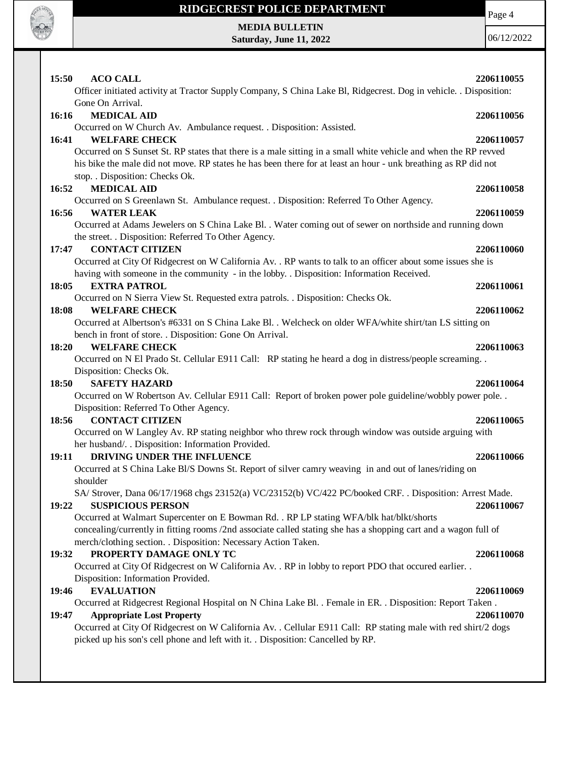

## **RIDGECREST POLICE DEPARTMENT**

Page 4

**MEDIA BULLETIN Saturday, June 11, 2022**

| 15:50<br><b>ACO CALL</b><br>Officer initiated activity at Tractor Supply Company, S China Lake Bl, Ridgecrest. Dog in vehicle. . Disposition:                                                                                                                        | 2206110055 |
|----------------------------------------------------------------------------------------------------------------------------------------------------------------------------------------------------------------------------------------------------------------------|------------|
| Gone On Arrival.                                                                                                                                                                                                                                                     |            |
| <b>MEDICAL AID</b><br>16:16                                                                                                                                                                                                                                          | 2206110056 |
| Occurred on W Church Av. Ambulance request. . Disposition: Assisted.                                                                                                                                                                                                 |            |
| 16:41<br><b>WELFARE CHECK</b>                                                                                                                                                                                                                                        | 2206110057 |
| Occurred on S Sunset St. RP states that there is a male sitting in a small white vehicle and when the RP revved<br>his bike the male did not move. RP states he has been there for at least an hour - unk breathing as RP did not<br>stop. . Disposition: Checks Ok. |            |
| <b>MEDICAL AID</b><br>16:52                                                                                                                                                                                                                                          | 2206110058 |
| Occurred on S Greenlawn St. Ambulance request. . Disposition: Referred To Other Agency.                                                                                                                                                                              |            |
| 16:56<br><b>WATER LEAK</b>                                                                                                                                                                                                                                           | 2206110059 |
| Occurred at Adams Jewelers on S China Lake Bl. . Water coming out of sewer on northside and running down                                                                                                                                                             |            |
| the street. . Disposition: Referred To Other Agency.                                                                                                                                                                                                                 |            |
| <b>CONTACT CITIZEN</b><br>17:47                                                                                                                                                                                                                                      | 2206110060 |
| Occurred at City Of Ridgecrest on W California Av. . RP wants to talk to an officer about some issues she is                                                                                                                                                         |            |
| having with someone in the community - in the lobby. . Disposition: Information Received.                                                                                                                                                                            |            |
| 18:05<br><b>EXTRA PATROL</b>                                                                                                                                                                                                                                         | 2206110061 |
| Occurred on N Sierra View St. Requested extra patrols. . Disposition: Checks Ok.                                                                                                                                                                                     |            |
| <b>WELFARE CHECK</b><br>18:08                                                                                                                                                                                                                                        | 2206110062 |
| Occurred at Albertson's #6331 on S China Lake Bl. . Welcheck on older WFA/white shirt/tan LS sitting on                                                                                                                                                              |            |
| bench in front of store. . Disposition: Gone On Arrival.                                                                                                                                                                                                             |            |
| <b>WELFARE CHECK</b><br>18:20                                                                                                                                                                                                                                        | 2206110063 |
| Occurred on N El Prado St. Cellular E911 Call: RP stating he heard a dog in distress/people screaming                                                                                                                                                                |            |
| Disposition: Checks Ok.                                                                                                                                                                                                                                              |            |
| <b>SAFETY HAZARD</b><br><b>18:50</b>                                                                                                                                                                                                                                 | 2206110064 |
| Occurred on W Robertson Av. Cellular E911 Call: Report of broken power pole guideline/wobbly power pole. .                                                                                                                                                           |            |
| Disposition: Referred To Other Agency.                                                                                                                                                                                                                               |            |
| <b>CONTACT CITIZEN</b><br>18:56                                                                                                                                                                                                                                      | 2206110065 |
| Occurred on W Langley Av. RP stating neighbor who threw rock through window was outside arguing with                                                                                                                                                                 |            |
| her husband/. . Disposition: Information Provided.                                                                                                                                                                                                                   |            |
| DRIVING UNDER THE INFLUENCE<br>19:11                                                                                                                                                                                                                                 | 2206110066 |
| Occurred at S China Lake Bl/S Downs St. Report of silver camry weaving in and out of lanes/riding on                                                                                                                                                                 |            |
| shoulder                                                                                                                                                                                                                                                             |            |
| SA/ Strover, Dana 06/17/1968 chgs 23152(a) VC/23152(b) VC/422 PC/booked CRF. . Disposition: Arrest Made.                                                                                                                                                             |            |
| <b>SUSPICIOUS PERSON</b><br>19:22                                                                                                                                                                                                                                    | 2206110067 |
| Occurred at Walmart Supercenter on E Bowman Rd. . RP LP stating WFA/blk hat/blkt/shorts                                                                                                                                                                              |            |
| concealing/currently in fitting rooms /2nd associate called stating she has a shopping cart and a wagon full of                                                                                                                                                      |            |
| merch/clothing section. . Disposition: Necessary Action Taken.                                                                                                                                                                                                       |            |
| 19:32<br>PROPERTY DAMAGE ONLY TC                                                                                                                                                                                                                                     | 2206110068 |
| Occurred at City Of Ridgecrest on W California Av. . RP in lobby to report PDO that occured earlier. .                                                                                                                                                               |            |
| Disposition: Information Provided.                                                                                                                                                                                                                                   |            |
| <b>EVALUATION</b><br>19:46                                                                                                                                                                                                                                           | 2206110069 |
| Occurred at Ridgecrest Regional Hospital on N China Lake Bl. . Female in ER. . Disposition: Report Taken.                                                                                                                                                            |            |
| <b>Appropriate Lost Property</b><br>19:47                                                                                                                                                                                                                            | 2206110070 |
| Occurred at City Of Ridgecrest on W California Av. . Cellular E911 Call: RP stating male with red shirt/2 dogs                                                                                                                                                       |            |
| picked up his son's cell phone and left with it. . Disposition: Cancelled by RP.                                                                                                                                                                                     |            |
|                                                                                                                                                                                                                                                                      |            |
|                                                                                                                                                                                                                                                                      |            |
|                                                                                                                                                                                                                                                                      |            |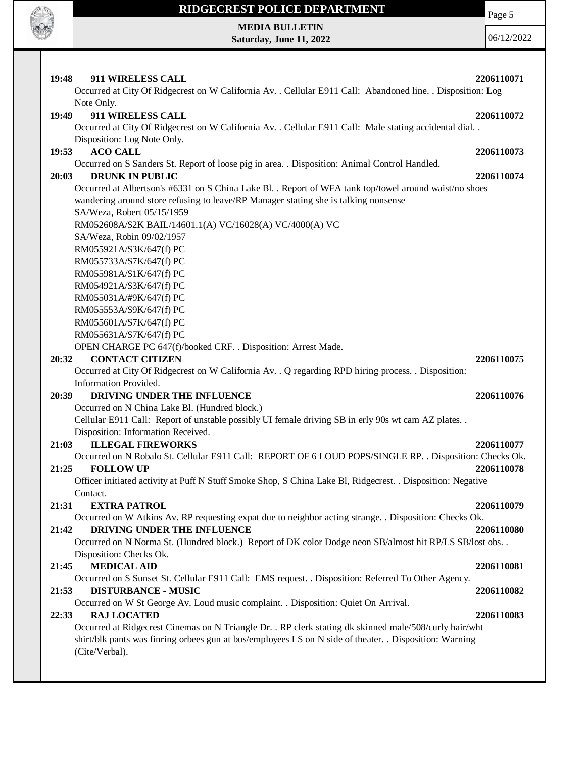

 $\mathsf{I}$ 

# **RIDGECREST POLICE DEPARTMENT**

Page 5

**MEDIA BULLETIN Saturday, June 11, 2022**

| 19:48<br>911 WIRELESS CALL                                                                                  | 2206110071 |
|-------------------------------------------------------------------------------------------------------------|------------|
| Occurred at City Of Ridgecrest on W California Av. . Cellular E911 Call: Abandoned line. . Disposition: Log |            |
| Note Only.                                                                                                  |            |
| 911 WIRELESS CALL<br>19:49                                                                                  | 2206110072 |
| Occurred at City Of Ridgecrest on W California Av. . Cellular E911 Call: Male stating accidental dial. .    |            |
| Disposition: Log Note Only.                                                                                 |            |
| <b>ACO CALL</b><br>19:53                                                                                    | 2206110073 |
| Occurred on S Sanders St. Report of loose pig in area. . Disposition: Animal Control Handled.               |            |
| <b>DRUNK IN PUBLIC</b><br>20:03                                                                             | 2206110074 |
| Occurred at Albertson's #6331 on S China Lake Bl. . Report of WFA tank top/towel around waist/no shoes      |            |
| wandering around store refusing to leave/RP Manager stating she is talking nonsense                         |            |
| SA/Weza, Robert 05/15/1959                                                                                  |            |
| RM052608A/\$2K BAIL/14601.1(A) VC/16028(A) VC/4000(A) VC                                                    |            |
| SA/Weza, Robin 09/02/1957                                                                                   |            |
| RM055921A/\$3K/647(f) PC                                                                                    |            |
| RM055733A/\$7K/647(f) PC                                                                                    |            |
| RM055981A/\$1K/647(f) PC                                                                                    |            |
| RM054921A/\$3K/647(f) PC                                                                                    |            |
| RM055031A/#9K/647(f) PC                                                                                     |            |
| RM055553A/\$9K/647(f) PC                                                                                    |            |
| RM055601A/\$7K/647(f) PC                                                                                    |            |
| RM055631A/\$7K/647(f) PC                                                                                    |            |
| OPEN CHARGE PC 647(f)/booked CRF. . Disposition: Arrest Made.                                               |            |
| <b>CONTACT CITIZEN</b><br>20:32                                                                             | 2206110075 |
| Occurred at City Of Ridgecrest on W California Av. . Q regarding RPD hiring process. . Disposition:         |            |
| Information Provided.                                                                                       |            |
| DRIVING UNDER THE INFLUENCE<br>20:39                                                                        | 2206110076 |
| Occurred on N China Lake Bl. (Hundred block.)                                                               |            |
| Cellular E911 Call: Report of unstable possibly UI female driving SB in erly 90s wt cam AZ plates           |            |
| Disposition: Information Received.                                                                          |            |
| 21:03<br><b>ILLEGAL FIREWORKS</b>                                                                           | 2206110077 |
| Occurred on N Robalo St. Cellular E911 Call: REPORT OF 6 LOUD POPS/SINGLE RP. . Disposition: Checks Ok.     |            |
| <b>FOLLOW UP</b><br>21:25                                                                                   | 2206110078 |
| Officer initiated activity at Puff N Stuff Smoke Shop, S China Lake Bl, Ridgecrest. . Disposition: Negative |            |
| Contact.                                                                                                    |            |
| 21:31<br><b>EXTRA PATROL</b>                                                                                | 2206110079 |
| Occurred on W Atkins Av. RP requesting expat due to neighbor acting strange. . Disposition: Checks Ok.      |            |
| 21:42<br>DRIVING UNDER THE INFLUENCE                                                                        | 2206110080 |
| Occurred on N Norma St. (Hundred block.) Report of DK color Dodge neon SB/almost hit RP/LS SB/lost obs. .   |            |
| Disposition: Checks Ok.                                                                                     |            |
| <b>MEDICAL AID</b><br>21:45                                                                                 | 2206110081 |
| Occurred on S Sunset St. Cellular E911 Call: EMS request. . Disposition: Referred To Other Agency.          |            |
| 21:53<br><b>DISTURBANCE - MUSIC</b>                                                                         | 2206110082 |
| Occurred on W St George Av. Loud music complaint. . Disposition: Quiet On Arrival.                          |            |
| <b>RAJ LOCATED</b><br>22:33                                                                                 | 2206110083 |
| Occurred at Ridgecrest Cinemas on N Triangle Dr. . RP clerk stating dk skinned male/508/curly hair/wht      |            |
| shirt/blk pants was finring orbees gun at bus/employees LS on N side of theater. . Disposition: Warning     |            |
| (Cite/Verbal).                                                                                              |            |
|                                                                                                             |            |